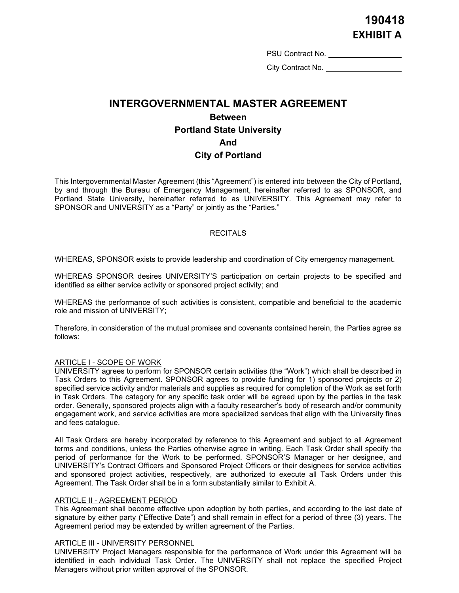PSU Contract No.

City Contract No. <u>\_\_\_\_\_\_</u>

# **INTERGOVERNMENTAL MASTER AGREEMENT Between Portland State University And City of Portland**

This Intergovernmental Master Agreement (this "Agreement") is entered into between the City of Portland, by and through the Bureau of Emergency Management, hereinafter referred to as SPONSOR, and Portland State University, hereinafter referred to as UNIVERSITY. This Agreement may refer to SPONSOR and UNIVERSITY as a "Party" or jointly as the "Parties."

## **RECITALS**

WHEREAS, SPONSOR exists to provide leadership and coordination of City emergency management.

WHEREAS SPONSOR desires UNIVERSITY'S participation on certain projects to be specified and identified as either service activity or sponsored project activity; and

WHEREAS the performance of such activities is consistent, compatible and beneficial to the academic role and mission of UNIVERSITY;

Therefore, in consideration of the mutual promises and covenants contained herein, the Parties agree as follows:

#### ARTICLE I - SCOPE OF WORK

UNIVERSITY agrees to perform for SPONSOR certain activities (the "Work") which shall be described in Task Orders to this Agreement. SPONSOR agrees to provide funding for 1) sponsored projects or 2) specified service activity and/or materials and supplies as required for completion of the Work as set forth in Task Orders. The category for any specific task order will be agreed upon by the parties in the task order. Generally, sponsored projects align with a faculty researcher's body of research and/or community engagement work, and service activities are more specialized services that align with the University fines and fees catalogue.

All Task Orders are hereby incorporated by reference to this Agreement and subject to all Agreement terms and conditions, unless the Parties otherwise agree in writing. Each Task Order shall specify the period of performance for the Work to be performed. SPONSOR'S Manager or her designee, and UNIVERSITY's Contract Officers and Sponsored Project Officers or their designees for service activities and sponsored project activities, respectively, are authorized to execute all Task Orders under this Agreement. The Task Order shall be in a form substantially similar to Exhibit A.

## ARTICLE II - AGREEMENT PERIOD

This Agreement shall become effective upon adoption by both parties, and according to the last date of signature by either party ("Effective Date") and shall remain in effect for a period of three (3) years. The Agreement period may be extended by written agreement of the Parties.

#### ARTICLE III - UNIVERSITY PERSONNEL

UNIVERSITY Project Managers responsible for the performance of Work under this Agreement will be identified in each individual Task Order. The UNIVERSITY shall not replace the specified Project Managers without prior written approval of the SPONSOR.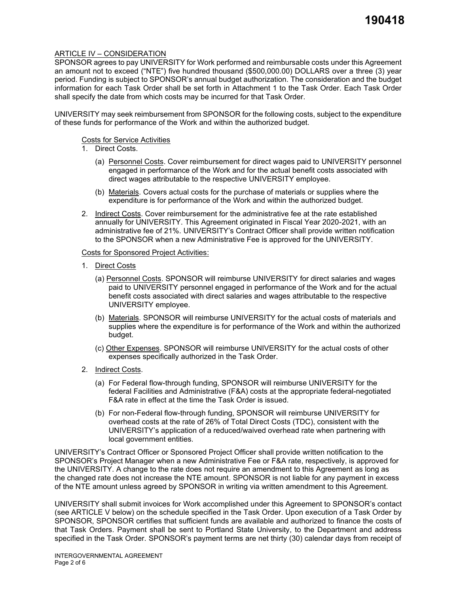## ARTICLE IV – CONSIDERATION

SPONSOR agrees to pay UNIVERSITY for Work performed and reimbursable costs under this Agreement an amount not to exceed ("NTE") five hundred thousand (\$500,000.00) DOLLARS over a three (3) year period. Funding is subject to SPONSOR's annual budget authorization. The consideration and the budget information for each Task Order shall be set forth in Attachment 1 to the Task Order. Each Task Order shall specify the date from which costs may be incurred for that Task Order.

UNIVERSITY may seek reimbursement from SPONSOR for the following costs, subject to the expenditure of these funds for performance of the Work and within the authorized budget.

Costs for Service Activities

- 1. Direct Costs.
	- (a) Personnel Costs. Cover reimbursement for direct wages paid to UNIVERSITY personnel engaged in performance of the Work and for the actual benefit costs associated with direct wages attributable to the respective UNIVERSITY employee.
	- (b) Materials. Covers actual costs for the purchase of materials or supplies where the expenditure is for performance of the Work and within the authorized budget.
- 2. Indirect Costs. Cover reimbursement for the administrative fee at the rate established annually for UNIVERSITY. This Agreement originated in Fiscal Year 2020-2021, with an administrative fee of 21%. UNIVERSITY's Contract Officer shall provide written notification to the SPONSOR when a new Administrative Fee is approved for the UNIVERSITY.

#### Costs for Sponsored Project Activities:

- 1. Direct Costs
	- (a) Personnel Costs. SPONSOR will reimburse UNIVERSITY for direct salaries and wages paid to UNIVERSITY personnel engaged in performance of the Work and for the actual benefit costs associated with direct salaries and wages attributable to the respective UNIVERSITY employee.
	- (b) Materials. SPONSOR will reimburse UNIVERSITY for the actual costs of materials and supplies where the expenditure is for performance of the Work and within the authorized budget.
	- (c) Other Expenses. SPONSOR will reimburse UNIVERSITY for the actual costs of other expenses specifically authorized in the Task Order.
- 2. Indirect Costs.
	- (a) For Federal flow-through funding, SPONSOR will reimburse UNIVERSITY for the federal Facilities and Administrative (F&A) costs at the appropriate federal-negotiated F&A rate in effect at the time the Task Order is issued.
	- (b) For non-Federal flow-through funding, SPONSOR will reimburse UNIVERSITY for overhead costs at the rate of 26% of Total Direct Costs (TDC), consistent with the UNIVERSITY's application of a reduced/waived overhead rate when partnering with local government entities.

UNIVERSITY's Contract Officer or Sponsored Project Officer shall provide written notification to the SPONSOR's Project Manager when a new Administrative Fee or F&A rate, respectively, is approved for the UNIVERSITY. A change to the rate does not require an amendment to this Agreement as long as the changed rate does not increase the NTE amount. SPONSOR is not liable for any payment in excess of the NTE amount unless agreed by SPONSOR in writing via written amendment to this Agreement.

UNIVERSITY shall submit invoices for Work accomplished under this Agreement to SPONSOR's contact (see ARTICLE V below) on the schedule specified in the Task Order. Upon execution of a Task Order by SPONSOR, SPONSOR certifies that sufficient funds are available and authorized to finance the costs of that Task Orders. Payment shall be sent to Portland State University, to the Department and address specified in the Task Order. SPONSOR's payment terms are net thirty (30) calendar days from receipt of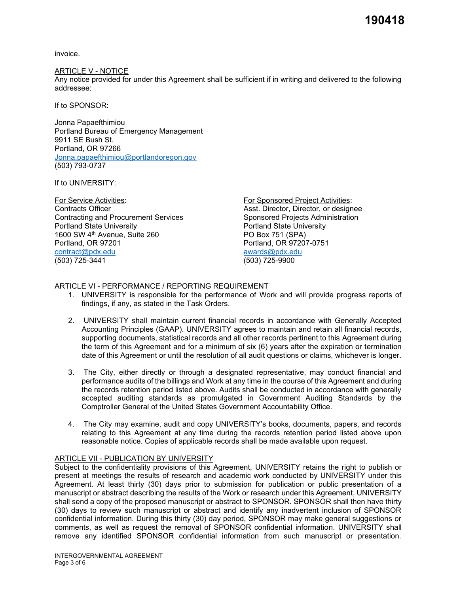**190418**

invoice.

#### ARTICLE V - NOTICE

Any notice provided for under this Agreement shall be sufficient if in writing and delivered to the following addressee:

If to SPONSOR:

Jonna Papaefthimiou Portland Bureau of Emergency Management 9911 SE Bush St. Portland, OR 97266 [Jonna.papaefthimiou@portlandoregon.gov](mailto:Jonna.papaefthimiou@portlandoregon.gov) (503) 793-0737

If to UNIVERSITY:

For Service Activities: For Sponsored Project Activities: Contracting and Procurement Services Sponsored Projects Administration<br>Portland State University<br>Portland State University 1600 SW 4<sup>th</sup> Avenue, Suite 260 Portland, OR 97201 Portland, OR 97207-0751 [contract@pdx.edu](mailto:contract@pdx.edu) [awards@pdx.edu](mailto:awards@pdx.edu) (503) 725-3441 (503) 725-9900

Asst. Director, Director, or designee Portland State University<br>PO Box 751 (SPA)

## ARTICLE VI - PERFORMANCE / REPORTING REQUIREMENT

- 1. UNIVERSITY is responsible for the performance of Work and will provide progress reports of findings, if any, as stated in the Task Orders.
- 2. UNIVERSITY shall maintain current financial records in accordance with Generally Accepted Accounting Principles (GAAP). UNIVERSITY agrees to maintain and retain all financial records, supporting documents, statistical records and all other records pertinent to this Agreement during the term of this Agreement and for a minimum of six (6) years after the expiration or termination date of this Agreement or until the resolution of all audit questions or claims, whichever is longer.
- 3. The City, either directly or through a designated representative, may conduct financial and performance audits of the billings and Work at any time in the course of this Agreement and during the records retention period listed above. Audits shall be conducted in accordance with generally accepted auditing standards as promulgated in Government Auditing Standards by the Comptroller General of the United States Government Accountability Office.
- 4. The City may examine, audit and copy UNIVERSITY's books, documents, papers, and records relating to this Agreement at any time during the records retention period listed above upon reasonable notice. Copies of applicable records shall be made available upon request.

## ARTICLE VII - PUBLICATION BY UNIVERSITY

Subject to the confidentiality provisions of this Agreement, UNIVERSITY retains the right to publish or present at meetings the results of research and academic work conducted by UNIVERSITY under this Agreement. At least thirty (30) days prior to submission for publication or public presentation of a manuscript or abstract describing the results of the Work or research under this Agreement, UNIVERSITY shall send a copy of the proposed manuscript or abstract to SPONSOR. SPONSOR shall then have thirty (30) days to review such manuscript or abstract and identify any inadvertent inclusion of SPONSOR confidential information. During this thirty (30) day period, SPONSOR may make general suggestions or comments, as well as request the removal of SPONSOR confidential information. UNIVERSITY shall remove any identified SPONSOR confidential information from such manuscript or presentation.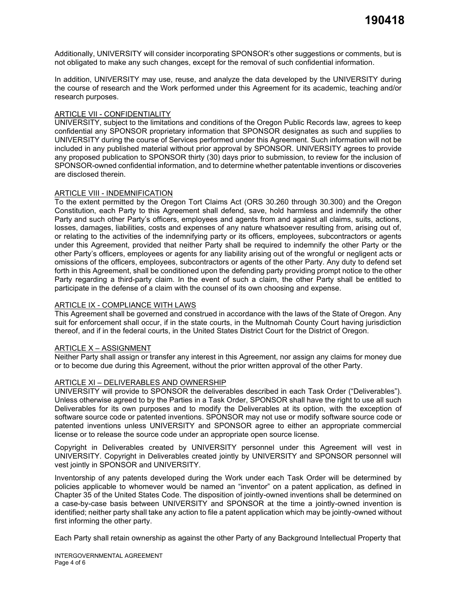Additionally, UNIVERSITY will consider incorporating SPONSOR's other suggestions or comments, but is not obligated to make any such changes, except for the removal of such confidential information.

In addition, UNIVERSITY may use, reuse, and analyze the data developed by the UNIVERSITY during the course of research and the Work performed under this Agreement for its academic, teaching and/or research purposes.

#### ARTICLE VII - CONFIDENTIALITY

UNIVERSITY, subject to the limitations and conditions of the Oregon Public Records law, agrees to keep confidential any SPONSOR proprietary information that SPONSOR designates as such and supplies to UNIVERSITY during the course of Services performed under this Agreement. Such information will not be included in any published material without prior approval by SPONSOR. UNIVERSITY agrees to provide any proposed publication to SPONSOR thirty (30) days prior to submission, to review for the inclusion of SPONSOR-owned confidential information, and to determine whether patentable inventions or discoveries are disclosed therein.

#### ARTICLE VIII - INDEMNIFICATION

To the extent permitted by the Oregon Tort Claims Act (ORS 30.260 through 30.300) and the Oregon Constitution, each Party to this Agreement shall defend, save, hold harmless and indemnify the other Party and such other Party's officers, employees and agents from and against all claims, suits, actions, losses, damages, liabilities, costs and expenses of any nature whatsoever resulting from, arising out of, or relating to the activities of the indemnifying party or its officers, employees, subcontractors or agents under this Agreement, provided that neither Party shall be required to indemnify the other Party or the other Party's officers, employees or agents for any liability arising out of the wrongful or negligent acts or omissions of the officers, employees, subcontractors or agents of the other Party. Any duty to defend set forth in this Agreement, shall be conditioned upon the defending party providing prompt notice to the other Party regarding a third-party claim. In the event of such a claim, the other Party shall be entitled to participate in the defense of a claim with the counsel of its own choosing and expense.

#### ARTICLE IX - COMPLIANCE WITH LAWS

This Agreement shall be governed and construed in accordance with the laws of the State of Oregon. Any suit for enforcement shall occur, if in the state courts, in the Multnomah County Court having jurisdiction thereof, and if in the federal courts, in the United States District Court for the District of Oregon.

#### ARTICLE X – ASSIGNMENT

Neither Party shall assign or transfer any interest in this Agreement, nor assign any claims for money due or to become due during this Agreement, without the prior written approval of the other Party.

#### ARTICLE XI – DELIVERABLES AND OWNERSHIP

UNIVERSITY will provide to SPONSOR the deliverables described in each Task Order ("Deliverables"). Unless otherwise agreed to by the Parties in a Task Order, SPONSOR shall have the right to use all such Deliverables for its own purposes and to modify the Deliverables at its option, with the exception of software source code or patented inventions. SPONSOR may not use or modify software source code or patented inventions unless UNIVERSITY and SPONSOR agree to either an appropriate commercial license or to release the source code under an appropriate open source license.

Copyright in Deliverables created by UNIVERSITY personnel under this Agreement will vest in UNIVERSITY. Copyright in Deliverables created jointly by UNIVERSITY and SPONSOR personnel will vest jointly in SPONSOR and UNIVERSITY.

Inventorship of any patents developed during the Work under each Task Order will be determined by policies applicable to whomever would be named an "inventor" on a patent application, as defined in Chapter 35 of the United States Code. The disposition of jointly-owned inventions shall be determined on a case-by-case basis between UNIVERSITY and SPONSOR at the time a jointly-owned invention is identified; neither party shall take any action to file a patent application which may be jointly-owned without first informing the other party.

Each Party shall retain ownership as against the other Party of any Background Intellectual Property that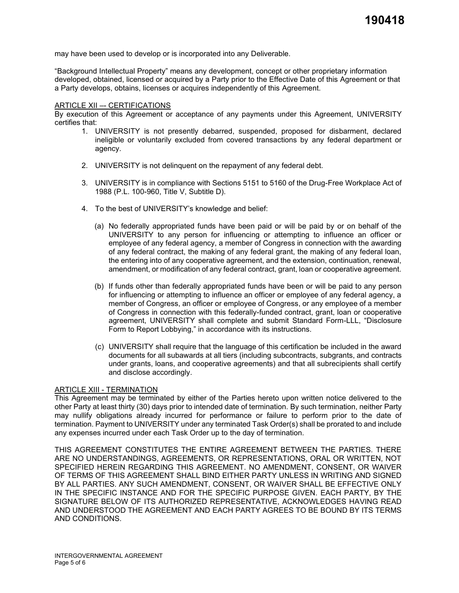may have been used to develop or is incorporated into any Deliverable.

"Background Intellectual Property" means any development, concept or other proprietary information developed, obtained, licensed or acquired by a Party prior to the Effective Date of this Agreement or that a Party develops, obtains, licenses or acquires independently of this Agreement.

#### ARTICLE XII –- CERTIFICATIONS

By execution of this Agreement or acceptance of any payments under this Agreement, UNIVERSITY certifies that:

- 1. UNIVERSITY is not presently debarred, suspended, proposed for disbarment, declared ineligible or voluntarily excluded from covered transactions by any federal department or agency.
- 2. UNIVERSITY is not delinquent on the repayment of any federal debt.
- 3. UNIVERSITY is in compliance with Sections 5151 to 5160 of the Drug-Free Workplace Act of 1988 (P.L. 100-960, Title V, Subtitle D).
- 4. To the best of UNIVERSITY's knowledge and belief:
	- (a) No federally appropriated funds have been paid or will be paid by or on behalf of the UNIVERSITY to any person for influencing or attempting to influence an officer or employee of any federal agency, a member of Congress in connection with the awarding of any federal contract, the making of any federal grant, the making of any federal loan, the entering into of any cooperative agreement, and the extension, continuation, renewal, amendment, or modification of any federal contract, grant, loan or cooperative agreement.
	- (b) If funds other than federally appropriated funds have been or will be paid to any person for influencing or attempting to influence an officer or employee of any federal agency, a member of Congress, an officer or employee of Congress, or any employee of a member of Congress in connection with this federally-funded contract, grant, loan or cooperative agreement, UNIVERSITY shall complete and submit Standard Form-LLL, "Disclosure Form to Report Lobbying," in accordance with its instructions.
	- (c) UNIVERSITY shall require that the language of this certification be included in the award documents for all subawards at all tiers (including subcontracts, subgrants, and contracts under grants, loans, and cooperative agreements) and that all subrecipients shall certify and disclose accordingly.

#### ARTICLE XIII - TERMINATION

This Agreement may be terminated by either of the Parties hereto upon written notice delivered to the other Party at least thirty (30) days prior to intended date of termination. By such termination, neither Party may nullify obligations already incurred for performance or failure to perform prior to the date of termination. Payment to UNIVERSITY under any terminated Task Order(s) shall be prorated to and include any expenses incurred under each Task Order up to the day of termination.

THIS AGREEMENT CONSTITUTES THE ENTIRE AGREEMENT BETWEEN THE PARTIES. THERE ARE NO UNDERSTANDINGS, AGREEMENTS, OR REPRESENTATIONS, ORAL OR WRITTEN, NOT SPECIFIED HEREIN REGARDING THIS AGREEMENT. NO AMENDMENT, CONSENT, OR WAIVER OF TERMS OF THIS AGREEMENT SHALL BIND EITHER PARTY UNLESS IN WRITING AND SIGNED BY ALL PARTIES. ANY SUCH AMENDMENT, CONSENT, OR WAIVER SHALL BE EFFECTIVE ONLY IN THE SPECIFIC INSTANCE AND FOR THE SPECIFIC PURPOSE GIVEN. EACH PARTY, BY THE SIGNATURE BELOW OF ITS AUTHORIZED REPRESENTATIVE, ACKNOWLEDGES HAVING READ AND UNDERSTOOD THE AGREEMENT AND EACH PARTY AGREES TO BE BOUND BY ITS TERMS AND CONDITIONS.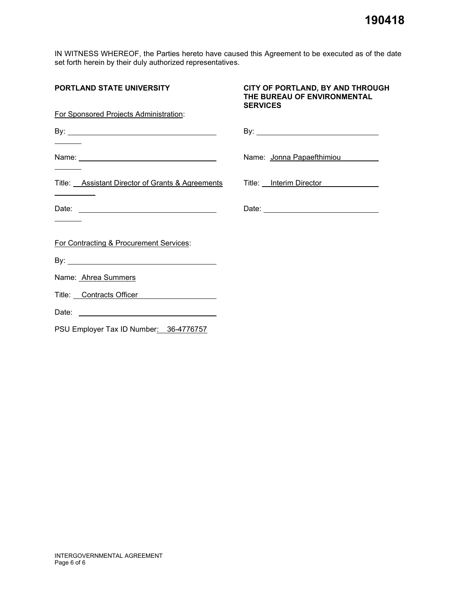IN WITNESS WHEREOF, the Parties hereto have caused this Agreement to be executed as of the date set forth herein by their duly authorized representatives.

| <b>PORTLAND STATE UNIVERSITY</b>                            | CITY OF PORTLAND, BY AND THROUGH<br>THE BUREAU OF ENVIRONMENTAL<br><b>SERVICES</b> |
|-------------------------------------------------------------|------------------------------------------------------------------------------------|
| For Sponsored Projects Administration:                      |                                                                                    |
| By: $\overline{\phantom{a}}$                                |                                                                                    |
|                                                             | Name: Jonna Papaefthimiou                                                          |
| Title: Assistant Director of Grants & Agreements            | Title: Interim Director                                                            |
|                                                             | Date: <u>Date: Experience</u>                                                      |
| For Contracting & Procurement Services:                     |                                                                                    |
|                                                             |                                                                                    |
| Name: Ahrea Summers                                         |                                                                                    |
| Title: Contracts Officer Contracts of the Contracts Officer |                                                                                    |
|                                                             |                                                                                    |
| PSU Employer Tax ID Number: 36-4776757                      |                                                                                    |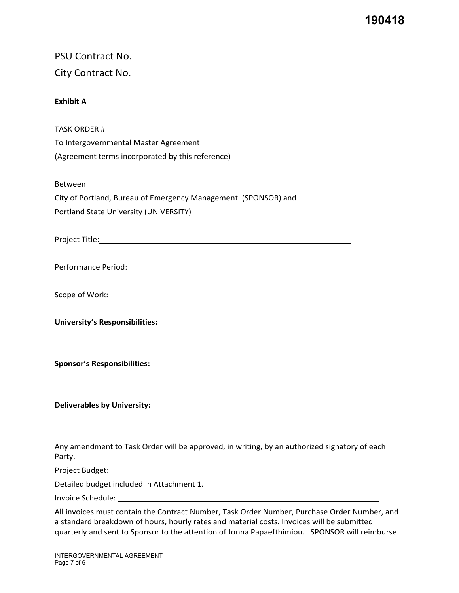**190418**

| <b>PSU Contract No.</b><br>City Contract No.                                                                                                                                                                                                                                                 |
|----------------------------------------------------------------------------------------------------------------------------------------------------------------------------------------------------------------------------------------------------------------------------------------------|
|                                                                                                                                                                                                                                                                                              |
| <b>Exhibit A</b>                                                                                                                                                                                                                                                                             |
| <b>TASK ORDER#</b>                                                                                                                                                                                                                                                                           |
| To Intergovernmental Master Agreement                                                                                                                                                                                                                                                        |
| (Agreement terms incorporated by this reference)                                                                                                                                                                                                                                             |
| <b>Between</b>                                                                                                                                                                                                                                                                               |
| City of Portland, Bureau of Emergency Management (SPONSOR) and                                                                                                                                                                                                                               |
| Portland State University (UNIVERSITY)                                                                                                                                                                                                                                                       |
|                                                                                                                                                                                                                                                                                              |
|                                                                                                                                                                                                                                                                                              |
| Scope of Work:                                                                                                                                                                                                                                                                               |
| <b>University's Responsibilities:</b>                                                                                                                                                                                                                                                        |
| <b>Sponsor's Responsibilities:</b>                                                                                                                                                                                                                                                           |
| <b>Deliverables by University:</b>                                                                                                                                                                                                                                                           |
| Any amendment to Task Order will be approved, in writing, by an authorized signatory of each<br>Party.                                                                                                                                                                                       |
|                                                                                                                                                                                                                                                                                              |
| Detailed budget included in Attachment 1.                                                                                                                                                                                                                                                    |
|                                                                                                                                                                                                                                                                                              |
| All invoices must contain the Contract Number, Task Order Number, Purchase Order Number, and<br>a standard breakdown of hours, hourly rates and material costs. Invoices will be submitted<br>quarterly and sent to Sponsor to the attention of Jonna Papaefthimiou.  SPONSOR will reimburse |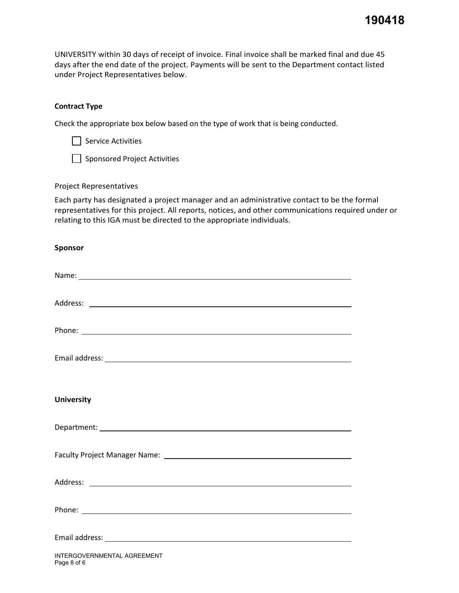UNIVERSITY within 30 days of receipt of invoice. Final invoice shall be marked final and due 45 days after the end date of the project. Payments will be sent to the Department contact listed under Project Representatives below.

## **Contract Type**

Check the appropriate box below based on the type of work that is being conducted.

Sponsored Project Activities

## Project Representatives

Each party has designated a project manager and an administrative contact to be the formal representatives for this project. All reports, notices, and other communications required under or relating to this IGA must be directed to the appropriate individuals.

## **Sponsor**

| <b>University</b>                          |
|--------------------------------------------|
|                                            |
|                                            |
|                                            |
|                                            |
|                                            |
| INTERGOVERNMENTAL AGREEMENT<br>Page 8 of 6 |